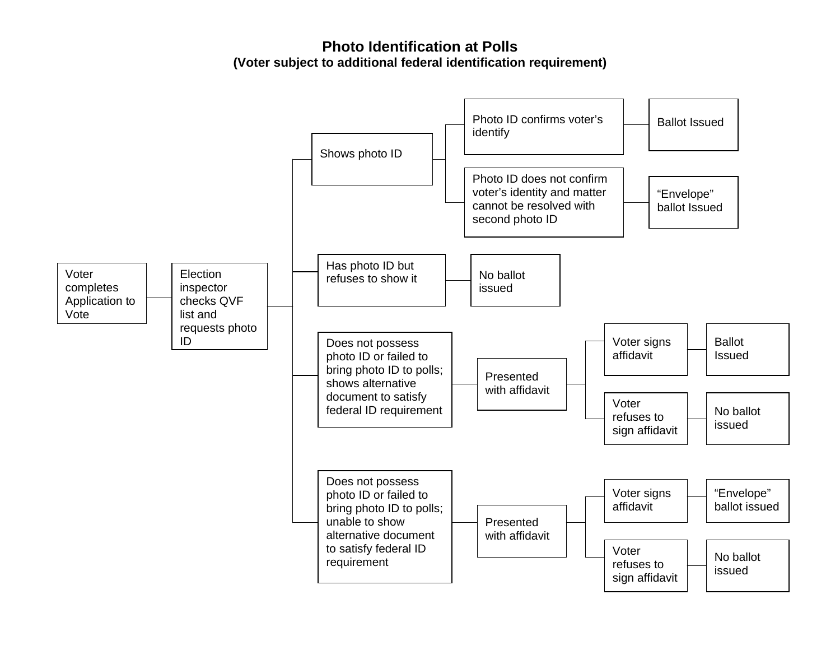**Photo Identification at Polls (Voter subject to additional federal identification requirement)**